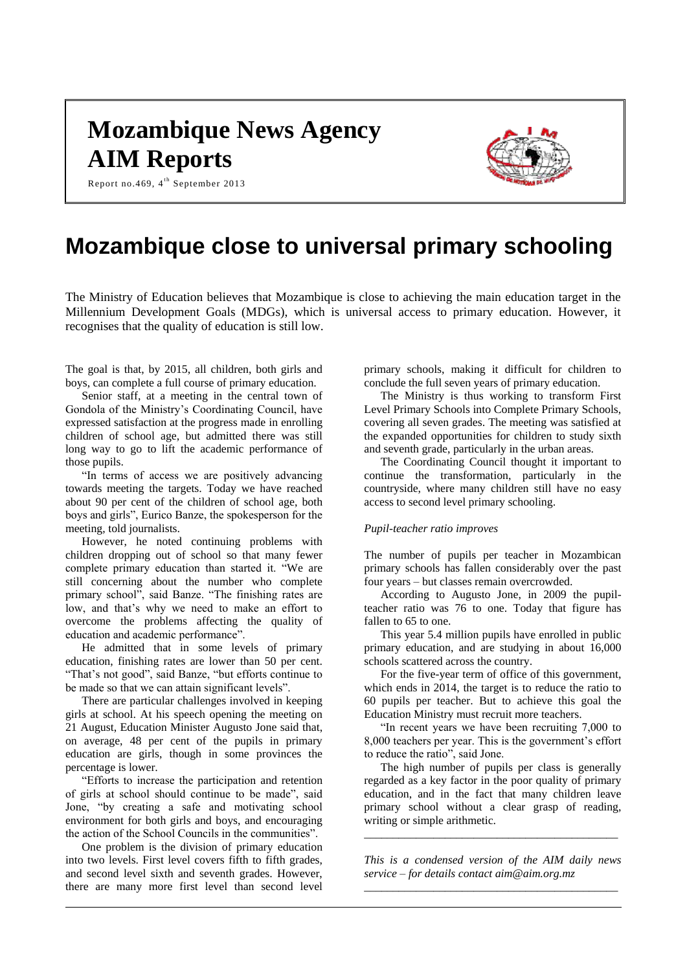# **Mozambique News Agency AIM Reports**



Report no.469,  $4^{\text{th}}$  September 2013

## **Mozambique close to universal primary schooling**

The Ministry of Education believes that Mozambique is close to achieving the main education target in the Millennium Development Goals (MDGs), which is universal access to primary education. However, it recognises that the quality of education is still low.

The goal is that, by 2015, all children, both girls and boys, can complete a full course of primary education.

Senior staff, at a meeting in the central town of Gondola of the Ministry's Coordinating Council, have expressed satisfaction at the progress made in enrolling children of school age, but admitted there was still long way to go to lift the academic performance of those pupils.

"In terms of access we are positively advancing towards meeting the targets. Today we have reached about 90 per cent of the children of school age, both boys and girls", Eurico Banze, the spokesperson for the meeting, told journalists.

However, he noted continuing problems with children dropping out of school so that many fewer complete primary education than started it. "We are still concerning about the number who complete primary school", said Banze. "The finishing rates are low, and that's why we need to make an effort to overcome the problems affecting the quality of education and academic performance".

He admitted that in some levels of primary education, finishing rates are lower than 50 per cent. "That's not good", said Banze, "but efforts continue to be made so that we can attain significant levels".

There are particular challenges involved in keeping girls at school. At his speech opening the meeting on 21 August, Education Minister Augusto Jone said that, on average, 48 per cent of the pupils in primary education are girls, though in some provinces the percentage is lower.

"Efforts to increase the participation and retention of girls at school should continue to be made", said Jone, "by creating a safe and motivating school environment for both girls and boys, and encouraging the action of the School Councils in the communities".

One problem is the division of primary education into two levels. First level covers fifth to fifth grades, and second level sixth and seventh grades. However, there are many more first level than second level

primary schools, making it difficult for children to conclude the full seven years of primary education.

The Ministry is thus working to transform First Level Primary Schools into Complete Primary Schools, covering all seven grades. The meeting was satisfied at the expanded opportunities for children to study sixth and seventh grade, particularly in the urban areas.

The Coordinating Council thought it important to continue the transformation, particularly in the countryside, where many children still have no easy access to second level primary schooling.

## *Pupil-teacher ratio improves*

The number of pupils per teacher in Mozambican primary schools has fallen considerably over the past four years – but classes remain overcrowded.

According to Augusto Jone, in 2009 the pupilteacher ratio was 76 to one. Today that figure has fallen to 65 to one.

This year 5.4 million pupils have enrolled in public primary education, and are studying in about 16,000 schools scattered across the country.

For the five-year term of office of this government, which ends in 2014, the target is to reduce the ratio to 60 pupils per teacher. But to achieve this goal the Education Ministry must recruit more teachers.

"In recent years we have been recruiting 7,000 to 8,000 teachers per year. This is the government's effort to reduce the ratio", said Jone.

The high number of pupils per class is generally regarded as a key factor in the poor quality of primary education, and in the fact that many children leave primary school without a clear grasp of reading, writing or simple arithmetic.

*This is a condensed version of the AIM daily news service – for details contact [aim@aim.org.mz](mailto:aim@aim.org.mz) \_\_\_\_\_\_\_\_\_\_\_\_\_\_\_\_\_\_\_\_\_\_\_\_\_\_\_\_\_\_\_\_\_\_\_\_\_\_\_\_\_\_\_\_*

*\_\_\_\_\_\_\_\_\_\_\_\_\_\_\_\_\_\_\_\_\_\_\_\_\_\_\_\_\_\_\_\_\_\_\_\_\_\_\_\_\_\_\_\_*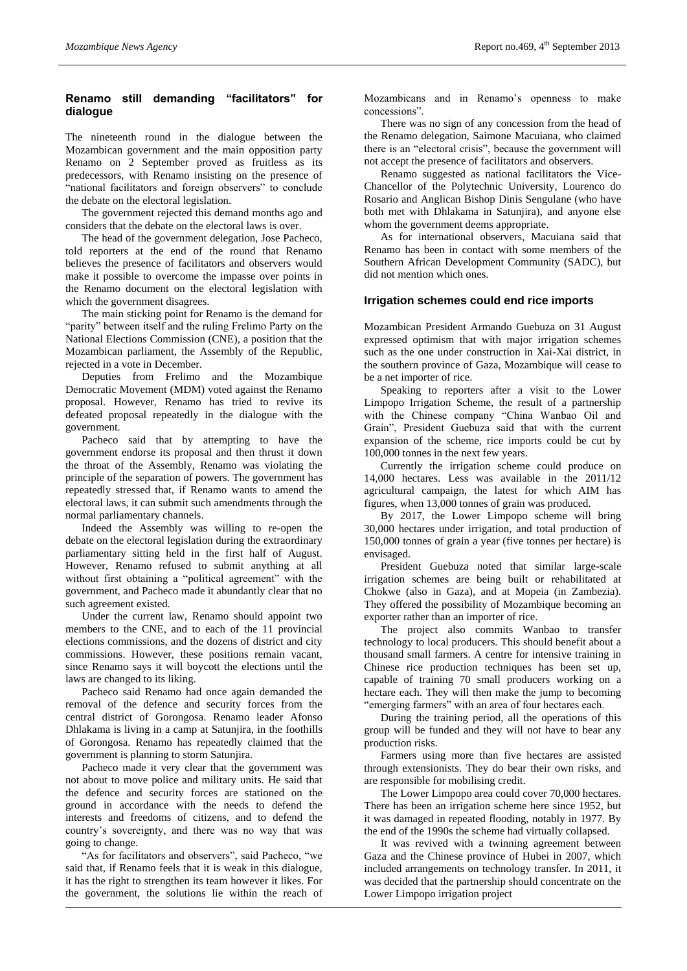## **Renamo still demanding "facilitators" for dialogue**

The nineteenth round in the dialogue between the Mozambican government and the main opposition party Renamo on 2 September proved as fruitless as its predecessors, with Renamo insisting on the presence of "national facilitators and foreign observers" to conclude the debate on the electoral legislation.

The government rejected this demand months ago and considers that the debate on the electoral laws is over.

The head of the government delegation, Jose Pacheco, told reporters at the end of the round that Renamo believes the presence of facilitators and observers would make it possible to overcome the impasse over points in the Renamo document on the electoral legislation with which the government disagrees.

The main sticking point for Renamo is the demand for "parity" between itself and the ruling Frelimo Party on the National Elections Commission (CNE), a position that the Mozambican parliament, the Assembly of the Republic, rejected in a vote in December.

Deputies from Frelimo and the Mozambique Democratic Movement (MDM) voted against the Renamo proposal. However, Renamo has tried to revive its defeated proposal repeatedly in the dialogue with the government.

Pacheco said that by attempting to have the government endorse its proposal and then thrust it down the throat of the Assembly, Renamo was violating the principle of the separation of powers. The government has repeatedly stressed that, if Renamo wants to amend the electoral laws, it can submit such amendments through the normal parliamentary channels.

Indeed the Assembly was willing to re-open the debate on the electoral legislation during the extraordinary parliamentary sitting held in the first half of August. However, Renamo refused to submit anything at all without first obtaining a "political agreement" with the government, and Pacheco made it abundantly clear that no such agreement existed.

Under the current law, Renamo should appoint two members to the CNE, and to each of the 11 provincial elections commissions, and the dozens of district and city commissions. However, these positions remain vacant, since Renamo says it will boycott the elections until the laws are changed to its liking.

Pacheco said Renamo had once again demanded the removal of the defence and security forces from the central district of Gorongosa. Renamo leader Afonso Dhlakama is living in a camp at Satunjira, in the foothills of Gorongosa. Renamo has repeatedly claimed that the government is planning to storm Satunjira.

Pacheco made it very clear that the government was not about to move police and military units. He said that the defence and security forces are stationed on the ground in accordance with the needs to defend the interests and freedoms of citizens, and to defend the country's sovereignty, and there was no way that was going to change.

"As for facilitators and observers", said Pacheco, "we said that, if Renamo feels that it is weak in this dialogue, it has the right to strengthen its team however it likes. For the government, the solutions lie within the reach of Mozambicans and in Renamo's openness to make concessions".

There was no sign of any concession from the head of the Renamo delegation, Saimone Macuiana, who claimed there is an "electoral crisis", because the government will not accept the presence of facilitators and observers.

Renamo suggested as national facilitators the Vice-Chancellor of the Polytechnic University, Lourenco do Rosario and Anglican Bishop Dinis Sengulane (who have both met with Dhlakama in Satunjira), and anyone else whom the government deems appropriate.

As for international observers, Macuiana said that Renamo has been in contact with some members of the Southern African Development Community (SADC), but did not mention which ones.

#### **Irrigation schemes could end rice imports**

Mozambican President Armando Guebuza on 31 August expressed optimism that with major irrigation schemes such as the one under construction in Xai-Xai district, in the southern province of Gaza, Mozambique will cease to be a net importer of rice.

Speaking to reporters after a visit to the Lower Limpopo Irrigation Scheme, the result of a partnership with the Chinese company "China Wanbao Oil and Grain", President Guebuza said that with the current expansion of the scheme, rice imports could be cut by 100,000 tonnes in the next few years.

Currently the irrigation scheme could produce on 14,000 hectares. Less was available in the 2011/12 agricultural campaign, the latest for which AIM has figures, when 13,000 tonnes of grain was produced.

By 2017, the Lower Limpopo scheme will bring 30,000 hectares under irrigation, and total production of 150,000 tonnes of grain a year (five tonnes per hectare) is envisaged.

President Guebuza noted that similar large-scale irrigation schemes are being built or rehabilitated at Chokwe (also in Gaza), and at Mopeia (in Zambezia). They offered the possibility of Mozambique becoming an exporter rather than an importer of rice.

The project also commits Wanbao to transfer technology to local producers. This should benefit about a thousand small farmers. A centre for intensive training in Chinese rice production techniques has been set up, capable of training 70 small producers working on a hectare each. They will then make the jump to becoming "emerging farmers" with an area of four hectares each.

During the training period, all the operations of this group will be funded and they will not have to bear any production risks.

Farmers using more than five hectares are assisted through extensionists. They do bear their own risks, and are responsible for mobilising credit.

The Lower Limpopo area could cover 70,000 hectares. There has been an irrigation scheme here since 1952, but it was damaged in repeated flooding, notably in 1977. By the end of the 1990s the scheme had virtually collapsed.

It was revived with a twinning agreement between Gaza and the Chinese province of Hubei in 2007, which included arrangements on technology transfer. In 2011, it was decided that the partnership should concentrate on the Lower Limpopo irrigation project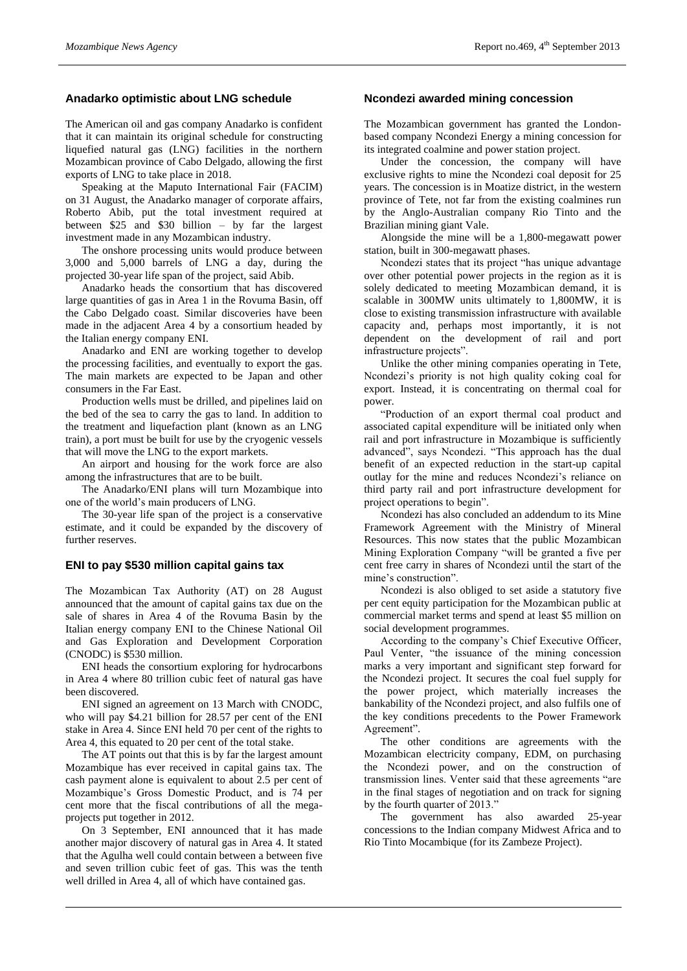### **Anadarko optimistic about LNG schedule**

The American oil and gas company Anadarko is confident that it can maintain its original schedule for constructing liquefied natural gas (LNG) facilities in the northern Mozambican province of Cabo Delgado, allowing the first exports of LNG to take place in 2018.

Speaking at the Maputo International Fair (FACIM) on 31 August, the Anadarko manager of corporate affairs, Roberto Abib, put the total investment required at between \$25 and \$30 billion – by far the largest investment made in any Mozambican industry.

The onshore processing units would produce between 3,000 and 5,000 barrels of LNG a day, during the projected 30-year life span of the project, said Abib.

Anadarko heads the consortium that has discovered large quantities of gas in Area 1 in the Rovuma Basin, off the Cabo Delgado coast. Similar discoveries have been made in the adjacent Area 4 by a consortium headed by the Italian energy company ENI.

Anadarko and ENI are working together to develop the processing facilities, and eventually to export the gas. The main markets are expected to be Japan and other consumers in the Far East.

Production wells must be drilled, and pipelines laid on the bed of the sea to carry the gas to land. In addition to the treatment and liquefaction plant (known as an LNG train), a port must be built for use by the cryogenic vessels that will move the LNG to the export markets.

An airport and housing for the work force are also among the infrastructures that are to be built.

The Anadarko/ENI plans will turn Mozambique into one of the world's main producers of LNG.

The 30-year life span of the project is a conservative estimate, and it could be expanded by the discovery of further reserves.

## **ENI to pay \$530 million capital gains tax**

The Mozambican Tax Authority (AT) on 28 August announced that the amount of capital gains tax due on the sale of shares in Area 4 of the Rovuma Basin by the Italian energy company ENI to the Chinese National Oil and Gas Exploration and Development Corporation (CNODC) is \$530 million.

ENI heads the consortium exploring for hydrocarbons in Area 4 where 80 trillion cubic feet of natural gas have been discovered.

ENI signed an agreement on 13 March with CNODC, who will pay \$4.21 billion for 28.57 per cent of the ENI stake in Area 4. Since ENI held 70 per cent of the rights to Area 4, this equated to 20 per cent of the total stake.

The AT points out that this is by far the largest amount Mozambique has ever received in capital gains tax. The cash payment alone is equivalent to about 2.5 per cent of Mozambique's Gross Domestic Product, and is 74 per cent more that the fiscal contributions of all the megaprojects put together in 2012.

On 3 September, ENI announced that it has made another major discovery of natural gas in Area 4. It stated that the Agulha well could contain between a between five and seven trillion cubic feet of gas. This was the tenth well drilled in Area 4, all of which have contained gas.

#### **Ncondezi awarded mining concession**

The Mozambican government has granted the Londonbased company Ncondezi Energy a mining concession for its integrated coalmine and power station project.

Under the concession, the company will have exclusive rights to mine the Ncondezi coal deposit for 25 years. The concession is in Moatize district, in the western province of Tete, not far from the existing coalmines run by the Anglo-Australian company Rio Tinto and the Brazilian mining giant Vale.

Alongside the mine will be a 1,800-megawatt power station, built in 300-megawatt phases.

Ncondezi states that its project "has unique advantage over other potential power projects in the region as it is solely dedicated to meeting Mozambican demand, it is scalable in 300MW units ultimately to 1,800MW, it is close to existing transmission infrastructure with available capacity and, perhaps most importantly, it is not dependent on the development of rail and port infrastructure projects".

Unlike the other mining companies operating in Tete, Ncondezi's priority is not high quality coking coal for export. Instead, it is concentrating on thermal coal for power.

"Production of an export thermal coal product and associated capital expenditure will be initiated only when rail and port infrastructure in Mozambique is sufficiently advanced", says Ncondezi. "This approach has the dual benefit of an expected reduction in the start-up capital outlay for the mine and reduces Ncondezi's reliance on third party rail and port infrastructure development for project operations to begin".

Ncondezi has also concluded an addendum to its Mine Framework Agreement with the Ministry of Mineral Resources. This now states that the public Mozambican Mining Exploration Company "will be granted a five per cent free carry in shares of Ncondezi until the start of the mine's construction".

Ncondezi is also obliged to set aside a statutory five per cent equity participation for the Mozambican public at commercial market terms and spend at least \$5 million on social development programmes.

According to the company's Chief Executive Officer, Paul Venter, "the issuance of the mining concession marks a very important and significant step forward for the Ncondezi project. It secures the coal fuel supply for the power project, which materially increases the bankability of the Ncondezi project, and also fulfils one of the key conditions precedents to the Power Framework Agreement".

The other conditions are agreements with the Mozambican electricity company, EDM, on purchasing the Ncondezi power, and on the construction of transmission lines. Venter said that these agreements "are in the final stages of negotiation and on track for signing by the fourth quarter of 2013."

The government has also awarded 25-year concessions to the Indian company Midwest Africa and to Rio Tinto Mocambique (for its Zambeze Project).